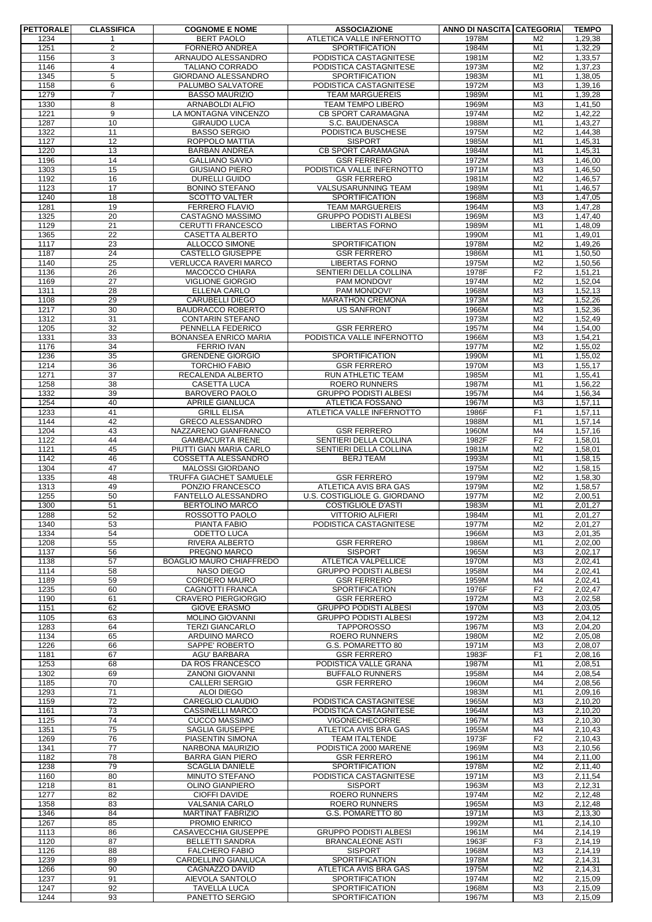| <b>PETTORALE</b> | <b>CLASSIFICA</b> | <b>COGNOME E NOME</b>                           | <b>ASSOCIAZIONE</b>                                       | ANNO DI NASCITA CATEGORIA |                                  | <b>TEMPO</b>       |
|------------------|-------------------|-------------------------------------------------|-----------------------------------------------------------|---------------------------|----------------------------------|--------------------|
| 1234             |                   | <b>BERT PAOLO</b>                               | ATLETICA VALLE INFERNOTTO                                 | 1978M                     | M <sub>2</sub>                   | 1,29,38            |
| 1251             | $\overline{2}$    | FORNERO ANDREA                                  | <b>SPORTIFICATION</b>                                     | 1984M                     | M1                               | 1,32,29            |
| 1156<br>1146     | 3<br>4            | ARNAUDO ALESSANDRO<br>TALIANO CORRADO           | PODISTICA CASTAGNITESE<br>PODISTICA CASTAGNITESE          | 1981M<br>1973M            | M <sub>2</sub><br>M <sub>2</sub> | 1,33,57<br>1,37,23 |
| 1345             | 5                 | GIORDANO ALESSANDRO                             | <b>SPORTIFICATION</b>                                     | 1983M                     | M1                               | 1,38,05            |
| 1158             | 6                 | PALUMBO SALVATORE                               | PODISTICA CASTAGNITESE                                    | 1972M                     | M <sub>3</sub>                   | 1,39,16            |
| 1279             | $\overline{7}$    | <b>BASSO MAURIZIO</b>                           | <b>TEAM MARGUEREIS</b>                                    | 1989M                     | M1                               | 1,39,28            |
| 1330             | 8                 | <b>ARNABOLDI ALFIO</b>                          | <b>TEAM TEMPO LIBERO</b>                                  | 1969M                     | M <sub>3</sub>                   | 1,41,50            |
| 1221             | 9                 | LA MONTAGNA VINCENZO                            | <b>CB SPORT CARAMAGNA</b>                                 | 1974M                     | M <sub>2</sub>                   | 1,42,22            |
| 1287             | 10                | <b>GIRAUDO LUCA</b>                             | S.C. BAUDENASCA<br>PODISTICA BUSCHESE                     | 1988M                     | M <sub>1</sub>                   | 1,43,27            |
| 1322<br>1127     | 11<br>12          | <b>BASSO SERGIO</b><br>ROPPOLO MATTIA           | <b>SISPORT</b>                                            | 1975M<br>1985M            | M <sub>2</sub><br>M1             | 1,44,38<br>1,45,31 |
| 1220             | 13                | <b>BARBAN ANDREA</b>                            | <b>CB SPORT CARAMAGNA</b>                                 | 1984M                     | M1                               | 1,45,31            |
| 1196             | 14                | <b>GALLIANO SAVIO</b>                           | <b>GSR FERRERO</b>                                        | 1972M                     | M <sub>3</sub>                   | 1.46.00            |
| 1303             | 15                | <b>GIUSIANO PIERO</b>                           | PODISTICA VALLE INFERNOTTO                                | 1971M                     | M <sub>3</sub>                   | 1,46,50            |
| 1192             | 16                | DURELLI GUIDO                                   | <b>GSR FERRERO</b>                                        | 1981M                     | M <sub>2</sub>                   | 1,46,57            |
| 1123             | 17                | <b>BONINO STEFANO</b>                           | VALSUSARUNNING TEAM                                       | 1989M                     | M1                               | 1,46,57            |
| 1240             | 18                | <b>SCOTTO VALTER</b>                            | <b>SPORTIFICATION</b>                                     | 1968M                     | M <sub>3</sub>                   | 1,47,05            |
| 1281<br>1325     | 19<br>20          | <b>FERRERO FLAVIO</b><br>CASTAGNO MASSIMO       | <b>TEAM MARGUEREIS</b><br><b>GRUPPO PODISTI ALBESI</b>    | 1964M<br>1969M            | M <sub>3</sub><br>M <sub>3</sub> | 1,47,28<br>1,47,40 |
| 1129             | 21                | CERUTTI FRANCESCO                               | <b>LIBERTAS FORNO</b>                                     | 1989M                     | M1                               | 1,48,09            |
| 1365             | 22                | <b>CASETTA ALBERTO</b>                          |                                                           | 1990M                     | M <sub>1</sub>                   | 1,49,01            |
| 1117             | 23                | ALLOCCO SIMONE                                  | <b>SPORTIFICATION</b>                                     | 1978M                     | M <sub>2</sub>                   | 1,49,26            |
| 1187             | 24                | <b>CASTELLO GIUSEPPE</b>                        | <b>GSR FERRERO</b>                                        | 1986M                     | M1                               | 1,50,50            |
| 1140             | $\overline{25}$   | VERLUCCA RAVERI MARCO                           | <b>LIBERTAS FORNO</b>                                     | 1975M                     | M <sub>2</sub>                   | 1,50,56            |
| 1136             | 26                | MACOCCO CHIARA                                  | SENTIERI DELLA COLLINA                                    | 1978F                     | F <sub>2</sub>                   | 1,51,21            |
| 1169<br>1311     | 27<br>28          | <b>VIGLIONE GIORGIO</b><br>ELLENA CARLO         | PAM MONDOVI'<br>PAM MONDOVI'                              | 1974M<br>1968M            | M <sub>2</sub><br>M <sub>3</sub> | 1,52,04<br>1,52,13 |
| 1108             | 29                | <b>CARUBELLI DIEGO</b>                          | <b>MARATHON CREMONA</b>                                   | 1973M                     | M <sub>2</sub>                   | 1,52,26            |
| 1217             | 30                | <b>BAUDRACCO ROBERTO</b>                        | <b>US SANFRONT</b>                                        | 1966M                     | M <sub>3</sub>                   | 1,52,36            |
| 1312             | 31                | <b>CONTARIN STEFANO</b>                         |                                                           | 1973M                     | M <sub>2</sub>                   | 1,52,49            |
| 1205             | 32                | PENNELLA FEDERICO                               | <b>GSR FERRERO</b>                                        | 1957M                     | M4                               | 1,54,00            |
| 1331             | 33                | <b>BONANSEA ENRICO MARIA</b>                    | PODISTICA VALLE INFERNOTTO                                | 1966M                     | M <sub>3</sub>                   | 1,54,21            |
| 1176             | 34                | <b>FERRIO IVAN</b>                              |                                                           | 1977M                     | M <sub>2</sub>                   | 1,55,02            |
| 1236<br>1214     | 35<br>36          | <b>GRENDENE GIORGIO</b><br><b>TORCHIO FABIO</b> | SPORTIFICATION<br><b>GSR FERRERO</b>                      | 1990M<br>1970M            | M1<br>M <sub>3</sub>             | 1,55,02<br>1,55,17 |
| 1271             | 37                | RECALENDA ALBERTO                               | RUN ATHLETIC TEAM                                         | 1985M                     | M <sub>1</sub>                   | 1,55,41            |
| 1258             | 38                | <b>CASETTA LUCA</b>                             | ROERO RUNNERS                                             | 1987M                     | M <sub>1</sub>                   | 1,56,22            |
| 1332             | 39                | <b>BAROVERO PAOLO</b>                           | <b>GRUPPO PODISTI ALBESI</b>                              | 1957M                     | M4                               | 1,56,34            |
| 1254             | 40                | <b>APRILE GIANLUCA</b>                          | ATLETICA FOSSANO                                          | 1967M                     | M <sub>3</sub>                   | 1,57,11            |
| 1233             | 41                | <b>GRILL ELISA</b>                              | ATLETICA VALLE INFERNOTTO                                 | 1986F                     | F <sub>1</sub>                   | 1,57,11            |
| 1144             | 42                | <b>GRECO ALESSANDRO</b>                         |                                                           | 1988M                     | M1                               | 1,57,14            |
| 1204<br>1122     | 43<br>44          | NAZZARENO GIANFRANCO<br><b>GAMBACURTA IRENE</b> | <b>GSR FERRERO</b><br>SENTIERI DELLA COLLINA              | 1960M<br>1982F            | M4<br>F <sub>2</sub>             | 1,57,16<br>1,58,01 |
| 1121             | 45                | PIUTTI GIAN MARIA CARLO                         | SENTIERI DELLA COLLINA                                    | 1981M                     | M <sub>2</sub>                   | 1,58,01            |
| 1142             | 46                | COSSETTA ALESSANDRO                             | <b>BERJ TEAM</b>                                          | 1993M                     | M <sub>1</sub>                   | 1,58,15            |
| 1304             | 47                | MALOSSI GIORDANO                                |                                                           | 1975M                     | M <sub>2</sub>                   | 1,58,15            |
| 1335             | 48                | TRUFFA GIACHET SAMUELE                          | <b>GSR FERRERO</b>                                        | 1979M                     | M <sub>2</sub>                   | 1,58,30            |
| 1313             | 49                | PONZIO FRANCESCO                                | ATLETICA AVIS BRA GAS                                     | 1979M                     | M <sub>2</sub>                   | 1,58,57            |
| 1255<br>1300     | 50<br>51          | FANTELLO ALESSANDRO<br><b>BERTOLINO MARCO</b>   | U.S. COSTIGLIOLE G. GIORDANO<br><b>COSTIGLIOLE D'ASTI</b> | 1977M<br>1983M            | M <sub>2</sub><br>M1             | 2,00,51<br>2,01,27 |
| 1288             | 52                | ROSSOTTO PAOLO                                  | <b>VITTORIO ALFIERI</b>                                   | 1984M                     | M1                               | 2,01,27            |
| 1340             | 53                | PIANTA FABIO                                    | PODISTICA CASTAGNITESE                                    | 1977M                     | M <sub>2</sub>                   | 2,01,27            |
| 1334             | 54                | ODETTO LUCA                                     |                                                           | 1966M                     | M3                               | 2,01,35            |
| 1208             | 55                | RIVERA ALBERTO                                  | <b>GSR FERRERO</b>                                        | 1986M                     | M1                               | 2,02,00            |
| 1137             | 56                | PREGNO MARCO                                    | <b>SISPORT</b>                                            | 1965M                     | M <sub>3</sub>                   | 2,02,17            |
| 1138             | 57                | BOAGLIO MAURO CHIAFFREDO<br><b>NASO DIEGO</b>   | <b>ATLETICA VALPELLICE</b>                                | 1970M                     | M <sub>3</sub>                   | 2,02,41            |
| 1114<br>1189     | 58<br>59          | <b>CORDERO MAURO</b>                            | <b>GRUPPO PODISTI ALBESI</b><br><b>GSR FERRERO</b>        | 1958M<br>1959M            | M4<br>M4                         | 2,02,41<br>2,02,41 |
| 1235             | 60                | <b>CAGNOTTI FRANCA</b>                          | SPORTIFICATION                                            | 1976F                     | F <sub>2</sub>                   | 2,02,47            |
| 1190             | 61                | <b>CRAVERO PIERGIORGIO</b>                      | <b>GSR FERRERO</b>                                        | 1972M                     | M3                               | 2,02,58            |
| 1151             | 62                | <b>GIOVE ERASMO</b>                             | <b>GRUPPO PODISTI ALBESI</b>                              | 1970M                     | M3                               | 2,03,05            |
| 1105             | 63                | <b>MOLINO GIOVANNI</b>                          | <b>GRUPPO PODISTI ALBESI</b>                              | 1972M                     | M <sub>3</sub>                   | 2,04,12            |
| 1283             | 64                | <b>TERZI GIANCARLO</b>                          | <b>TAPPOROSSO</b>                                         | 1967M                     | M <sub>3</sub>                   | 2,04,20            |
| 1134<br>1226     | 65<br>66          | ARDUINO MARCO<br>SAPPE' ROBERTO                 | <b>ROERO RUNNERS</b><br>G.S. POMARETTO 80                 | 1980M<br>1971M            | M <sub>2</sub><br>M <sub>3</sub> | 2,05,08<br>2,08,07 |
| 1181             | 67                | AGU' BARBARA                                    | <b>GSR FERRERO</b>                                        | 1983F                     | F <sub>1</sub>                   | 2,08,16            |
| 1253             | 68                | DA ROS FRANCESCO                                | PODISTICA VALLE GRANA                                     | 1987M                     | M <sub>1</sub>                   | 2,08,51            |
| 1302             | 69                | <b>ZANONI GIOVANNI</b>                          | <b>BUFFALO RUNNERS</b>                                    | 1958M                     | M4                               | 2,08,54            |
| 1185             | 70                | <b>CALLERI SERGIO</b>                           | <b>GSR FERRERO</b>                                        | 1960M                     | M4                               | 2,08,56            |
| 1293             | 71                | <b>ALOI DIEGO</b>                               |                                                           | 1983M                     | M1                               | 2,09,16            |
| 1159<br>1161     | 72<br>73          | CAREGLIO CLAUDIO<br><b>CASSINELLI MARCO</b>     | PODISTICA CASTAGNITESE<br>PODISTICA CASTAGNITESE          | 1965M<br>1964M            | M <sub>3</sub><br>M <sub>3</sub> | 2,10,20<br>2,10,20 |
| 1125             | 74                | <b>CUCCO MASSIMO</b>                            | VIGONECHECORRE                                            | 1967M                     | M <sub>3</sub>                   | 2,10,30            |
| 1351             | 75                | SAGLIA GIUSEPPE                                 | ATLETICA AVIS BRA GAS                                     | 1955M                     | M4                               | 2,10,43            |
| 1269             | 76                | PIASENTIN SIMONA                                | TEAM ITALTENDE                                            | 1973F                     | F <sub>2</sub>                   | 2,10,43            |
| 1341             | 77                | NARBONA MAURIZIO                                | PODISTICA 2000 MARENE                                     | 1969M                     | M <sub>3</sub>                   | 2,10,56            |
| 1182             | 78                | <b>BARRA GIAN PIERO</b>                         | <b>GSR FERRERO</b>                                        | 1961M                     | M4                               | 2,11,00            |
| 1238<br>1160     | 79<br>80          | <b>SCAGLIA DANIELE</b><br>MINUTO STEFANO        | <b>SPORTIFICATION</b><br>PODISTICA CASTAGNITESE           | 1978M<br>1971M            | M <sub>2</sub><br>M3             | 2,11,40<br>2,11,54 |
| 1218             | 81                | OLINO GIANPIERO                                 | <b>SISPORT</b>                                            | 1963M                     | M3                               | 2,12,31            |
| 1277             | 82                | <b>CIOFFI DAVIDE</b>                            | <b>ROERO RUNNERS</b>                                      | 1974M                     | M <sub>2</sub>                   | 2,12,48            |
| 1358             | 83                | VALSANIA CARLO                                  | <b>ROERO RUNNERS</b>                                      | 1965M                     | M <sub>3</sub>                   | 2,12,48            |
| 1346             | 84                | <b>MARTINAT FABRIZIO</b>                        | G.S. POMARETTO 80                                         | 1971M                     | M3                               | 2,13,30            |
| 1267             | 85                | PROMIO ENRICO                                   |                                                           | 1992M                     | M1                               | 2,14,10            |
| 1113             | 86                | CASAVECCHIA GIUSEPPE                            | <b>GRUPPO PODISTI ALBESI</b>                              | 1961M                     | M4                               | 2,14,19            |
| 1120<br>1126     | 87<br>88          | <b>BELLETTI SANDRA</b><br><b>FALCHERO FABIO</b> | <b>BRANCALEONE ASTI</b><br><b>SISPORT</b>                 | 1963F<br>1968M            | F <sub>3</sub><br>M <sub>3</sub> | 2,14,19<br>2,14,19 |
| 1239             | 89                | CARDELLINO GIANLUCA                             | <b>SPORTIFICATION</b>                                     | 1978M                     | M <sub>2</sub>                   | 2,14,31            |
| 1266             | 90                | CAGNAZZO DAVID                                  | ATLETICA AVIS BRA GAS                                     | 1975M                     | M <sub>2</sub>                   | 2,14,31            |
| 1237             | 91                | AIEVOLA SANTOLO                                 | SPORTIFICATION                                            | 1974M                     | M <sub>2</sub>                   | 2,15,09            |
| 1247             | 92                | <b>TAVELLA LUCA</b>                             | SPORTIFICATION                                            | 1968M                     | M3                               | 2,15,09            |
| 1244             | 93                | PANETTO SERGIO                                  | SPORTIFICATION                                            | 1967M                     | M <sub>3</sub>                   | 2,15,09            |